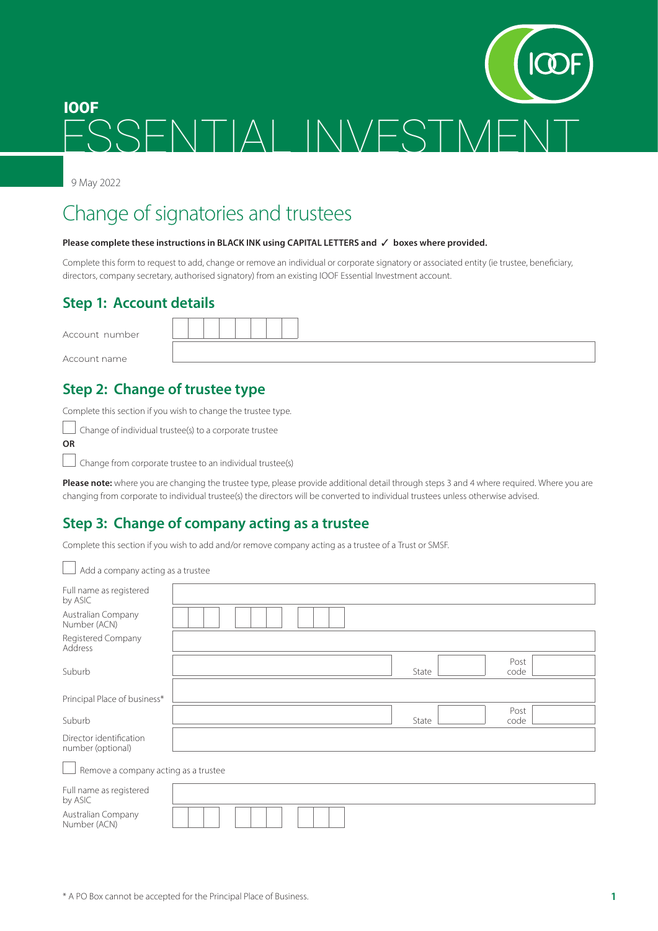# ESSENTIAL INVESTME IOOF

9 May 2022

 $\overline{\phantom{0}}$ 

## Change of signatories and trustees

#### Please complete these instructions in BLACK INK using CAPITAL LETTERS and √ boxes where provided.

Complete this form to request to add, change or remove an individual or corporate signatory or associated entity (ie trustee, beneficiary, directors, company secretary, authorised signatory) from an existing IOOF Essential Investment account.

#### **Step 1: Account details**

| Account number |  |
|----------------|--|
| Account name   |  |

## **Step 2: Change of trustee type**

Complete this section if you wish to change the trustee type.

 $\Box$  Change of individual trustee(s) to a corporate trustee **OR**

 $\Box$  Change from corporate trustee to an individual trustee(s)

**Please note:** where you are changing the trustee type, please provide additional detail through steps 3 and 4 where required. Where you are changing from corporate to individual trustee(s) the directors will be converted to individual trustees unless otherwise advised.

## **Step 3: Change of company acting as a trustee**

Complete this section if you wish to add and/or remove company acting as a trustee of a Trust or SMSF.

| Add a company acting as a trustee            |  |  |       |              |  |
|----------------------------------------------|--|--|-------|--------------|--|
| Full name as registered<br>by ASIC           |  |  |       |              |  |
| Australian Company<br>Number (ACN)           |  |  |       |              |  |
| Registered Company<br>Address                |  |  |       |              |  |
| Suburb                                       |  |  | State | Post<br>code |  |
| Principal Place of business*                 |  |  |       |              |  |
| Suburb                                       |  |  | State | Post<br>code |  |
| Director identification<br>number (optional) |  |  |       |              |  |
| Remove a company acting as a trustee         |  |  |       |              |  |
| Full name as registered<br>by ASIC           |  |  |       |              |  |
| Australian Company<br>Number (ACN)           |  |  |       |              |  |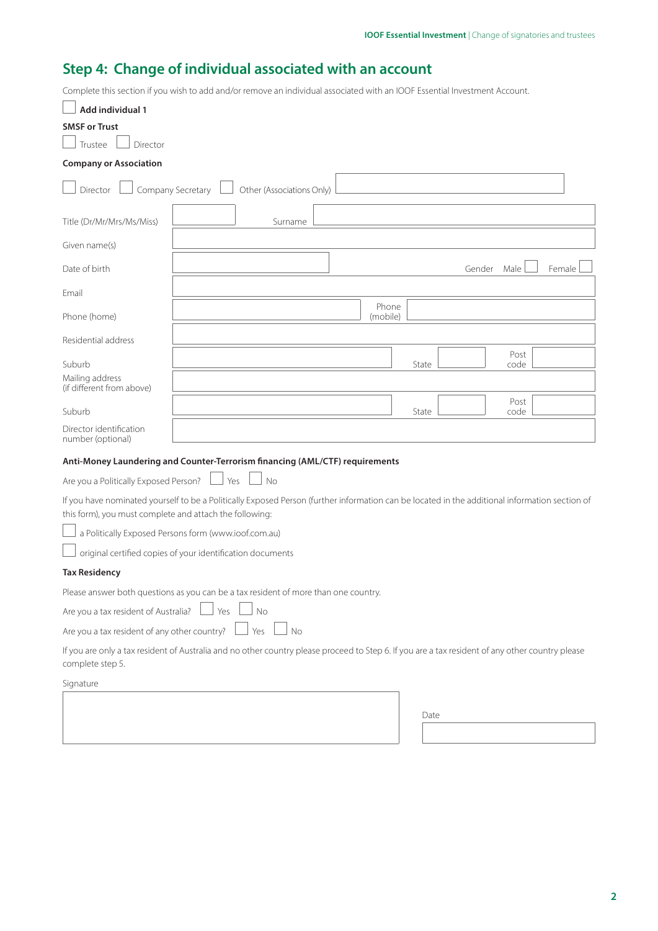## **Step 4: Change of individual associated with an account**

Complete this section if you wish to add and/or remove an individual associated with an IOOF Essential Investment Account.

| Add individual 1                                        |                                                                                                                                                  |                   |        |                |
|---------------------------------------------------------|--------------------------------------------------------------------------------------------------------------------------------------------------|-------------------|--------|----------------|
| <b>SMSF or Trust</b>                                    |                                                                                                                                                  |                   |        |                |
| Trustee<br>Director                                     |                                                                                                                                                  |                   |        |                |
| <b>Company or Association</b>                           |                                                                                                                                                  |                   |        |                |
| Director                                                | Company Secretary<br>Other (Associations Only)                                                                                                   |                   |        |                |
| Title (Dr/Mr/Mrs/Ms/Miss)                               | Surname                                                                                                                                          |                   |        |                |
| Given name(s)                                           |                                                                                                                                                  |                   |        |                |
| Date of birth                                           |                                                                                                                                                  |                   | Gender | Male<br>Female |
| Email                                                   |                                                                                                                                                  |                   |        |                |
| Phone (home)                                            |                                                                                                                                                  | Phone<br>(mobile) |        |                |
| Residential address                                     |                                                                                                                                                  |                   |        |                |
| Suburb                                                  |                                                                                                                                                  |                   | State  | Post<br>code   |
| Mailing address<br>(if different from above)            |                                                                                                                                                  |                   |        |                |
| Suburb                                                  |                                                                                                                                                  |                   | State  | Post<br>code   |
| Director identification<br>number (optional)            |                                                                                                                                                  |                   |        |                |
|                                                         | Anti-Money Laundering and Counter-Terrorism financing (AML/CTF) requirements                                                                     |                   |        |                |
| Are you a Politically Exposed Person?                   | Yes<br>No                                                                                                                                        |                   |        |                |
| this form), you must complete and attach the following: | If you have nominated yourself to be a Politically Exposed Person (further information can be located in the additional information section of   |                   |        |                |
|                                                         | a Politically Exposed Persons form (www.ioof.com.au)                                                                                             |                   |        |                |
|                                                         | original certified copies of your identification documents                                                                                       |                   |        |                |
| <b>Tax Residency</b>                                    |                                                                                                                                                  |                   |        |                |
|                                                         | Please answer both questions as you can be a tax resident of more than one country.                                                              |                   |        |                |
| Are you a tax resident of Australia?                    | Yes<br>No                                                                                                                                        |                   |        |                |
| Are you a tax resident of any other country?            | No<br>Yes                                                                                                                                        |                   |        |                |
| complete step 5.                                        | If you are only a tax resident of Australia and no other country please proceed to Step 6. If you are a tax resident of any other country please |                   |        |                |
| Signature                                               |                                                                                                                                                  |                   |        |                |
|                                                         |                                                                                                                                                  |                   |        |                |
|                                                         |                                                                                                                                                  |                   | Date   |                |

**2**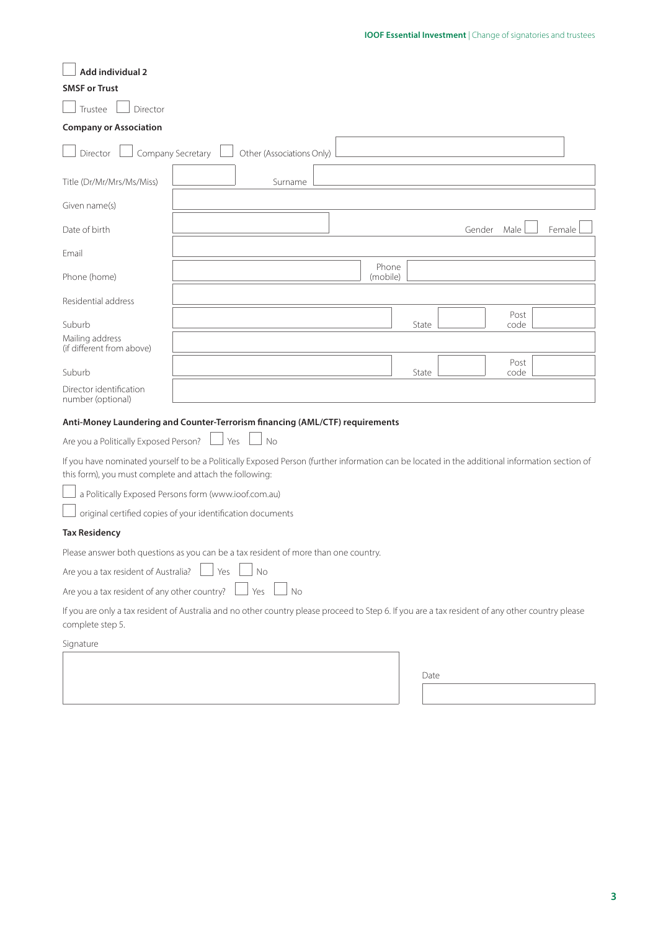| Add individual 2                                                                                                                                                                                          |                   |                           |    |                   |       |        |              |        |  |
|-----------------------------------------------------------------------------------------------------------------------------------------------------------------------------------------------------------|-------------------|---------------------------|----|-------------------|-------|--------|--------------|--------|--|
| <b>SMSF or Trust</b>                                                                                                                                                                                      |                   |                           |    |                   |       |        |              |        |  |
| Trustee<br>Director                                                                                                                                                                                       |                   |                           |    |                   |       |        |              |        |  |
| <b>Company or Association</b>                                                                                                                                                                             |                   |                           |    |                   |       |        |              |        |  |
| Director                                                                                                                                                                                                  | Company Secretary | Other (Associations Only) |    |                   |       |        |              |        |  |
| Title (Dr/Mr/Mrs/Ms/Miss)                                                                                                                                                                                 |                   | Surname                   |    |                   |       |        |              |        |  |
| Given name(s)                                                                                                                                                                                             |                   |                           |    |                   |       |        |              |        |  |
| Date of birth                                                                                                                                                                                             |                   |                           |    |                   |       | Gender | Male         | Female |  |
| Email                                                                                                                                                                                                     |                   |                           |    |                   |       |        |              |        |  |
| Phone (home)                                                                                                                                                                                              |                   |                           |    | Phone<br>(mobile) |       |        |              |        |  |
| Residential address                                                                                                                                                                                       |                   |                           |    |                   |       |        |              |        |  |
| Suburb                                                                                                                                                                                                    |                   |                           |    |                   | State |        | Post<br>code |        |  |
| Mailing address<br>(if different from above)                                                                                                                                                              |                   |                           |    |                   |       |        |              |        |  |
| Suburb                                                                                                                                                                                                    |                   |                           |    |                   | State |        | Post<br>code |        |  |
| Director identification<br>number (optional)                                                                                                                                                              |                   |                           |    |                   |       |        |              |        |  |
| Anti-Money Laundering and Counter-Terrorism financing (AML/CTF) requirements                                                                                                                              |                   |                           |    |                   |       |        |              |        |  |
| Are you a Politically Exposed Person?                                                                                                                                                                     |                   | Yes<br><b>No</b>          |    |                   |       |        |              |        |  |
| If you have nominated yourself to be a Politically Exposed Person (further information can be located in the additional information section of<br>this form), you must complete and attach the following: |                   |                           |    |                   |       |        |              |        |  |
| a Politically Exposed Persons form (www.ioof.com.au)                                                                                                                                                      |                   |                           |    |                   |       |        |              |        |  |
| original certified copies of your identification documents                                                                                                                                                |                   |                           |    |                   |       |        |              |        |  |
| <b>Tax Residency</b>                                                                                                                                                                                      |                   |                           |    |                   |       |        |              |        |  |
| Please answer both questions as you can be a tax resident of more than one country.                                                                                                                       |                   |                           |    |                   |       |        |              |        |  |
| Are you a tax resident of Australia? $\Box$ Yes<br>No                                                                                                                                                     |                   |                           |    |                   |       |        |              |        |  |
| Are you a tax resident of any other country?                                                                                                                                                              |                   | Yes                       | No |                   |       |        |              |        |  |
| If you are only a tax resident of Australia and no other country please proceed to Step 6. If you are a tax resident of any other country please<br>complete step 5.                                      |                   |                           |    |                   |       |        |              |        |  |
|                                                                                                                                                                                                           |                   |                           |    |                   |       |        |              |        |  |

Signature

Date

**3**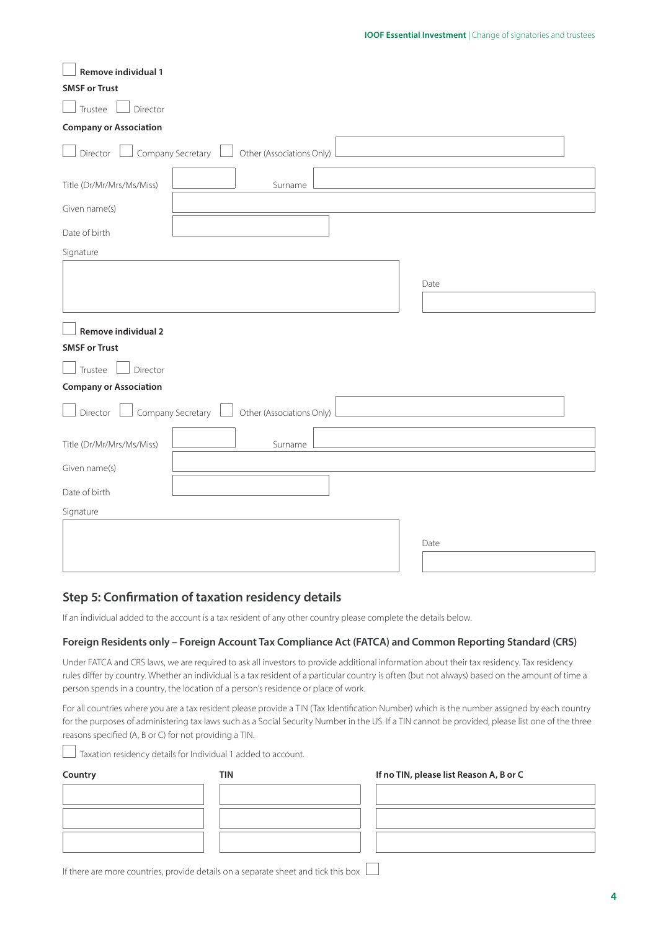| Remove individual 1                                            |      |  |  |
|----------------------------------------------------------------|------|--|--|
| <b>SMSF or Trust</b>                                           |      |  |  |
| Trustee<br>Director                                            |      |  |  |
| <b>Company or Association</b>                                  |      |  |  |
| Company Secretary $\Box$ Other (Associations Only)<br>Director |      |  |  |
| Title (Dr/Mr/Mrs/Ms/Miss)<br>Surname                           |      |  |  |
| Given name(s)                                                  |      |  |  |
| Date of birth                                                  |      |  |  |
| Signature                                                      |      |  |  |
|                                                                | Date |  |  |
|                                                                |      |  |  |
| <b>Remove individual 2</b>                                     |      |  |  |
| <b>SMSF or Trust</b>                                           |      |  |  |
| Trustee<br>Director                                            |      |  |  |
| <b>Company or Association</b>                                  |      |  |  |
| Company Secretary $\Box$ Other (Associations Only)<br>Director |      |  |  |
| Title (Dr/Mr/Mrs/Ms/Miss)<br>Surname                           |      |  |  |
| Given name(s)                                                  |      |  |  |
| Date of birth                                                  |      |  |  |
| Signature                                                      |      |  |  |
|                                                                |      |  |  |
|                                                                | Date |  |  |
|                                                                |      |  |  |

#### **Step 5: Confirmation of taxation residency details**

If an individual added to the account is a tax resident of any other country please complete the details below.

#### **Foreign Residents only – Foreign Account Tax Compliance Act (FATCA) and Common Reporting Standard (CRS)**

Under FATCA and CRS laws, we are required to ask all investors to provide additional information about their tax residency. Tax residency rules differ by country. Whether an individual is a tax resident of a particular country is often (but not always) based on the amount of time a person spends in a country, the location of a person's residence or place of work.

For all countries where you are a tax resident please provide a TIN (Tax Identification Number) which is the number assigned by each country for the purposes of administering tax laws such as a Social Security Number in the US. If a TIN cannot be provided, please list one of the three reasons specified (A, B or C) for not providing a TIN.

Taxation residency details for Individual 1 added to account.

| Country | TIN | If no TIN, please list Reason A, B or C |
|---------|-----|-----------------------------------------|
|         |     |                                         |
|         |     |                                         |
|         |     |                                         |
|         |     |                                         |
|         |     |                                         |

If there are more countries, provide details on a separate sheet and tick this box  $\Box$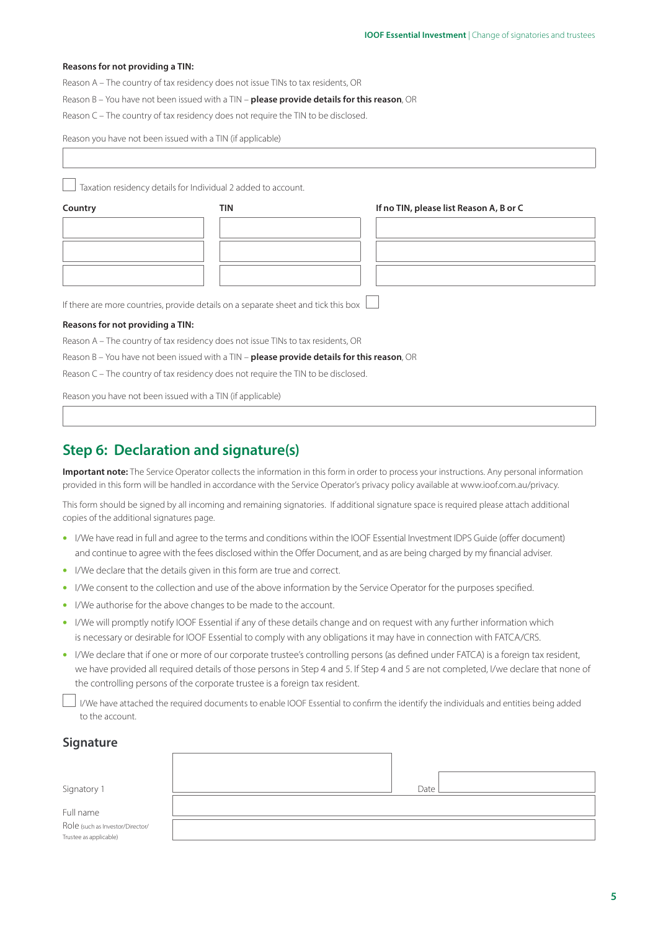#### **Reasons for not providing a TIN:**

Reason A – The country of tax residency does not issue TINs to tax residents, OR

Reason B – You have not been issued with a TIN – **please provide details for this reason**, OR

Reason C – The country of tax residency does not require the TIN to be disclosed.

Reason you have not been issued with a TIN (if applicable)

 $\Box$  Taxation residency details for Individual 2 added to account.

| Country | TIN | If no TIN, please list Reason A, B or C |
|---------|-----|-----------------------------------------|
|         |     |                                         |
|         |     |                                         |
|         |     |                                         |
|         |     |                                         |

If there are more countries, provide details on a separate sheet and tick this box

#### **Reasons for not providing a TIN:**

Reason A – The country of tax residency does not issue TINs to tax residents, OR

Reason B – You have not been issued with a TIN – **please provide details for this reason**, OR

Reason C – The country of tax residency does not require the TIN to be disclosed.

Reason you have not been issued with a TIN (if applicable)

### **Step 6: Declaration and signature(s)**

**Important note:** The Service Operator collects the information in this form in order to process your instructions. Any personal information provided in this form will be handled in accordance with the Service Operator's privacy policy available a[t www.ioof.com.au/privacy.](http://www.ioof.com.au/privacy) 

This form should be signed by all incoming and remaining signatories. If additional signature space is required please attach additional copies of the additional signatures page.

- I/We have read in full and agree to the terms and conditions within the IOOF Essential Investment IDPS Guide (offer document) and continue to agree with the fees disclosed within the Offer Document, and as are being charged by my financial adviser.
- I/We declare that the details given in this form are true and correct.
- I/We consent to the collection and use of the above information by the Service Operator for the purposes specified.
- I/We authorise for the above changes to be made to the account.
- I/We will promptly notify IOOF Essential if any of these details change and on request with any further information which is necessary or desirable for IOOF Essential to comply with any obligations it may have in connection with FATCA/CRS.
- I/We declare that if one or more of our corporate trustee's controlling persons (as defined under FATCA) is a foreign tax resident, we have provided all required details of those persons in Step 4 and 5. If Step 4 and 5 are not completed, I/we declare that none of the controlling persons of the corporate trustee is a foreign tax resident.

 I/We have attached the required documents to enable IOOF Essential to confirm the identify the individuals and entities being added to the account.

#### **Signature**

| Signatory 1                      | Date |  |
|----------------------------------|------|--|
|                                  |      |  |
| Full name                        |      |  |
| Role (such as Investor/Director/ |      |  |
| Trustee as applicable)           |      |  |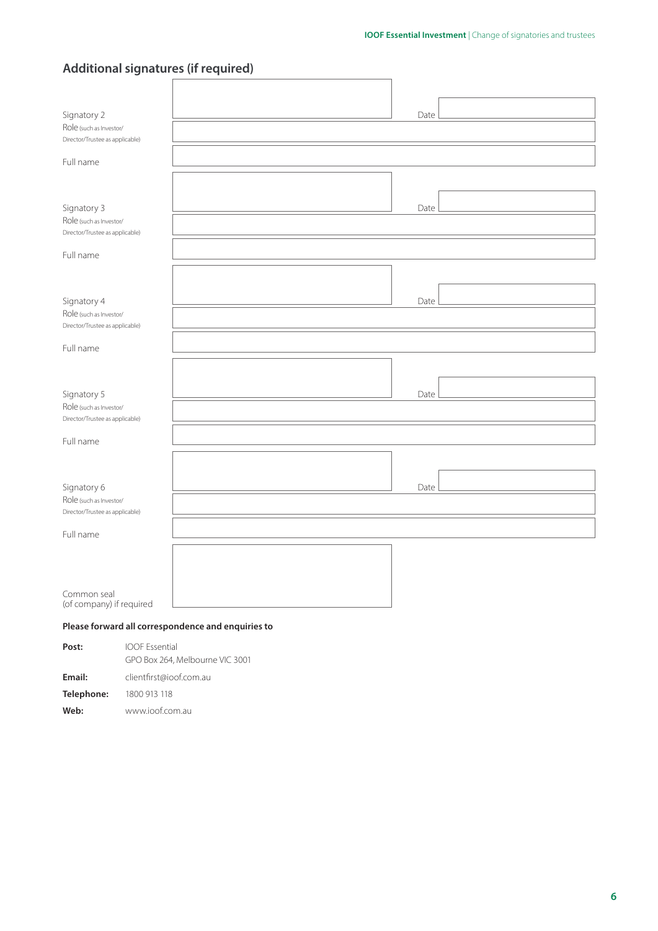| Date                                                                                      |
|-------------------------------------------------------------------------------------------|
|                                                                                           |
|                                                                                           |
|                                                                                           |
| Date                                                                                      |
|                                                                                           |
|                                                                                           |
|                                                                                           |
| Date                                                                                      |
|                                                                                           |
|                                                                                           |
|                                                                                           |
| Date                                                                                      |
|                                                                                           |
|                                                                                           |
|                                                                                           |
| Date                                                                                      |
|                                                                                           |
|                                                                                           |
|                                                                                           |
|                                                                                           |
|                                                                                           |
|                                                                                           |
| Additional signatures (ii required)<br>Please forward all correspondence and enquiries to |

| Post:      | <b>IOOF Essential</b>           |
|------------|---------------------------------|
|            | GPO Box 264, Melbourne VIC 3001 |
| Email:     | clientfirst@ioof.com.au         |
| Telephone: | 1800 913 118                    |
| Web:       | www.joof.com.au                 |